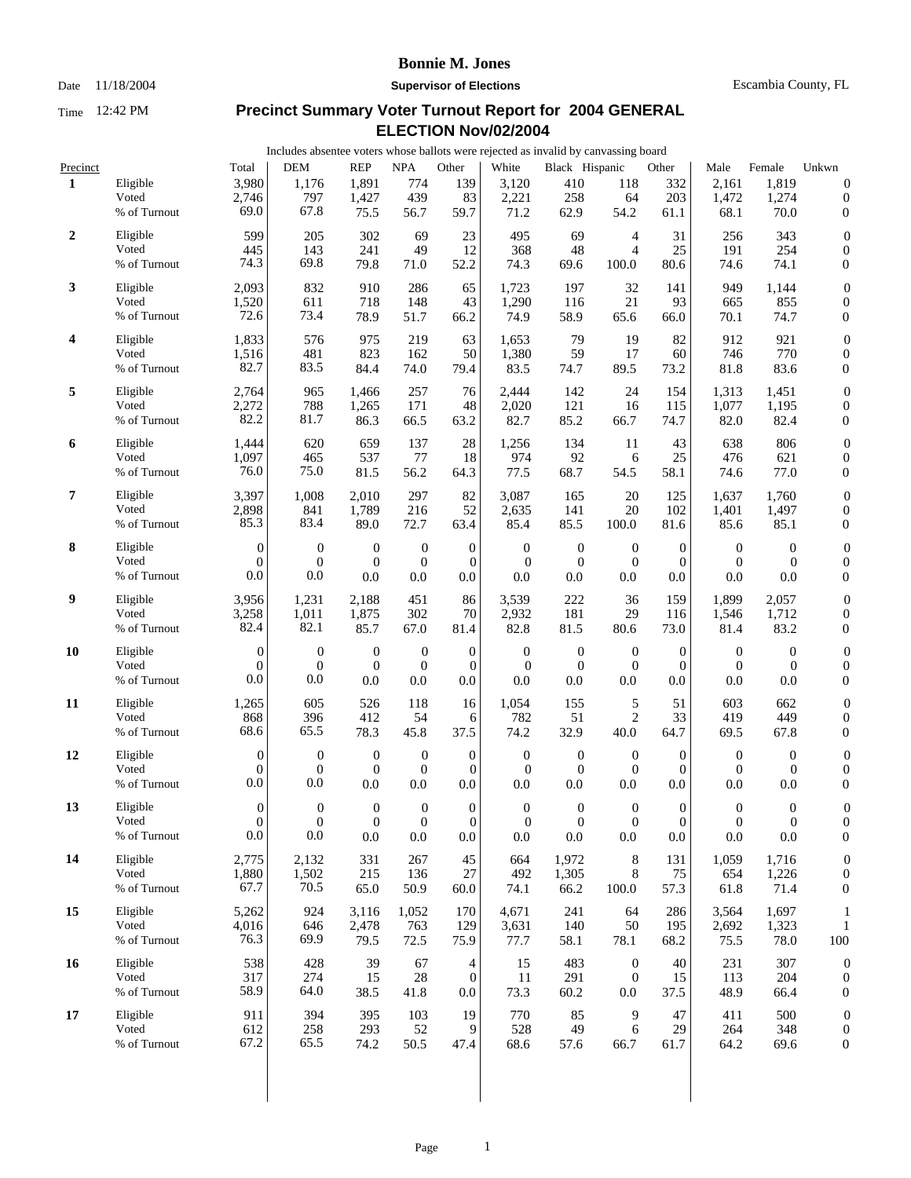### Date 11/18/2004 **Supervisor of Elections** Escambia County, FL

|                |                                   |                                       | Includes absentee voters whose ballots were rejected as invalid by canvassing board |                                         |                                             |                                                 |                                             |                                             |                                           |                                         |                                               |                                         |                                                          |  |
|----------------|-----------------------------------|---------------------------------------|-------------------------------------------------------------------------------------|-----------------------------------------|---------------------------------------------|-------------------------------------------------|---------------------------------------------|---------------------------------------------|-------------------------------------------|-----------------------------------------|-----------------------------------------------|-----------------------------------------|----------------------------------------------------------|--|
| Precinct       |                                   | Total                                 | <b>DEM</b>                                                                          | <b>REP</b>                              | $\rm NPA$                                   | Other                                           | White                                       | Black Hispanic                              |                                           | Other                                   | Male                                          | Female                                  | Unkwn                                                    |  |
| 1              | Eligible<br>Voted<br>% of Turnout | 3,980<br>2,746<br>69.0                | 1,176<br>797<br>67.8                                                                | 1,891<br>1,427<br>75.5                  | 774<br>439<br>56.7                          | 139<br>83<br>59.7                               | 3,120<br>2,221<br>71.2                      | 410<br>258<br>62.9                          | 118<br>64<br>54.2                         | 332<br>203<br>61.1                      | 2,161<br>1,472<br>68.1                        | 1,819<br>1,274<br>70.0                  | $\boldsymbol{0}$<br>$\boldsymbol{0}$<br>$\boldsymbol{0}$ |  |
| $\overline{2}$ | Eligible<br>Voted<br>% of Turnout | 599<br>445<br>74.3                    | 205<br>143<br>69.8                                                                  | 302<br>241<br>79.8                      | 69<br>49<br>71.0                            | 23<br>12<br>52.2                                | 495<br>368<br>74.3                          | 69<br>48<br>69.6                            | 4<br>4<br>100.0                           | 31<br>25<br>80.6                        | 256<br>191<br>74.6                            | 343<br>254<br>74.1                      | $\boldsymbol{0}$<br>$\boldsymbol{0}$<br>$\boldsymbol{0}$ |  |
| 3              | Eligible<br>Voted<br>% of Turnout | 2,093<br>1,520<br>72.6                | 832<br>611<br>73.4                                                                  | 910<br>718<br>78.9                      | 286<br>148<br>51.7                          | 65<br>43<br>66.2                                | 1,723<br>1,290<br>74.9                      | 197<br>116<br>58.9                          | 32<br>21<br>65.6                          | 141<br>93<br>66.0                       | 949<br>665<br>70.1                            | 1,144<br>855<br>74.7                    | $\boldsymbol{0}$<br>$\boldsymbol{0}$<br>$\boldsymbol{0}$ |  |
| 4              | Eligible<br>Voted<br>% of Turnout | 1,833<br>1,516<br>82.7                | 576<br>481<br>83.5                                                                  | 975<br>823<br>84.4                      | 219<br>162<br>74.0                          | 63<br>50<br>79.4                                | 1,653<br>1,380<br>83.5                      | 79<br>59<br>74.7                            | 19<br>17<br>89.5                          | 82<br>60<br>73.2                        | 912<br>746<br>81.8                            | 921<br>770<br>83.6                      | $\boldsymbol{0}$<br>$\boldsymbol{0}$<br>$\boldsymbol{0}$ |  |
| 5              | Eligible<br>Voted<br>% of Turnout | 2,764<br>2,272<br>82.2                | 965<br>788<br>81.7                                                                  | 1,466<br>1,265<br>86.3                  | 257<br>171<br>66.5                          | 76<br>48<br>63.2                                | 2,444<br>2,020<br>82.7                      | 142<br>121<br>85.2                          | 24<br>16<br>66.7                          | 154<br>115<br>74.7                      | 1,313<br>1,077<br>82.0                        | 1,451<br>1,195<br>82.4                  | $\boldsymbol{0}$<br>$\boldsymbol{0}$<br>$\boldsymbol{0}$ |  |
| 6              | Eligible<br>Voted<br>% of Turnout | 1,444<br>1,097<br>76.0                | 620<br>465<br>75.0                                                                  | 659<br>537<br>81.5                      | 137<br>77<br>56.2                           | 28<br>18<br>64.3                                | 1,256<br>974<br>77.5                        | 134<br>92<br>68.7                           | 11<br>6<br>54.5                           | 43<br>25<br>58.1                        | 638<br>476<br>74.6                            | 806<br>621<br>77.0                      | $\boldsymbol{0}$<br>$\boldsymbol{0}$<br>$\boldsymbol{0}$ |  |
| 7              | Eligible<br>Voted<br>% of Turnout | 3,397<br>2,898<br>85.3                | 1,008<br>841<br>83.4                                                                | 2,010<br>1,789<br>89.0                  | 297<br>216<br>72.7                          | 82<br>52<br>63.4                                | 3,087<br>2,635<br>85.4                      | 165<br>141<br>85.5                          | 20<br>20<br>100.0                         | 125<br>102<br>81.6                      | 1,637<br>1,401<br>85.6                        | 1,760<br>1,497<br>85.1                  | $\boldsymbol{0}$<br>$\boldsymbol{0}$<br>$\boldsymbol{0}$ |  |
| 8              | Eligible<br>Voted<br>% of Turnout | $\overline{0}$<br>$\theta$<br>0.0     | $\boldsymbol{0}$<br>$\overline{0}$<br>0.0                                           | $\boldsymbol{0}$<br>$\mathbf{0}$<br>0.0 | $\mathbf{0}$<br>$\mathbf{0}$<br>0.0         | $\boldsymbol{0}$<br>$\mathbf{0}$<br>0.0         | $\boldsymbol{0}$<br>$\boldsymbol{0}$<br>0.0 | $\mathbf{0}$<br>$\boldsymbol{0}$<br>0.0     | $\mathbf{0}$<br>$\mathbf{0}$<br>0.0       | $\mathbf{0}$<br>$\overline{0}$<br>0.0   | $\mathbf{0}$<br>$\overline{0}$<br>0.0         | $\overline{0}$<br>$\overline{0}$<br>0.0 | $\boldsymbol{0}$<br>$\boldsymbol{0}$<br>$\boldsymbol{0}$ |  |
| 9              | Eligible<br>Voted<br>% of Turnout | 3,956<br>3,258<br>82.4                | 1,231<br>1,011<br>82.1                                                              | 2,188<br>1,875<br>85.7                  | 451<br>302<br>67.0                          | 86<br>70<br>81.4                                | 3,539<br>2,932<br>82.8                      | 222<br>181<br>81.5                          | 36<br>29<br>80.6                          | 159<br>116<br>73.0                      | 1,899<br>1,546<br>81.4                        | 2,057<br>1,712<br>83.2                  | $\boldsymbol{0}$<br>$\boldsymbol{0}$<br>$\boldsymbol{0}$ |  |
| 10             | Eligible<br>Voted<br>% of Turnout | $\boldsymbol{0}$<br>$\theta$<br>0.0   | $\boldsymbol{0}$<br>$\boldsymbol{0}$<br>0.0                                         | $\boldsymbol{0}$<br>$\mathbf{0}$<br>0.0 | $\mathbf{0}$<br>$\boldsymbol{0}$<br>0.0     | $\mathbf{0}$<br>$\mathbf{0}$<br>0.0             | $\boldsymbol{0}$<br>$\boldsymbol{0}$<br>0.0 | $\boldsymbol{0}$<br>$\boldsymbol{0}$<br>0.0 | $\mathbf{0}$<br>$\boldsymbol{0}$<br>0.0   | $\mathbf{0}$<br>$\mathbf{0}$<br>0.0     | $\boldsymbol{0}$<br>$\mathbf{0}$<br>0.0       | $\mathbf{0}$<br>$\boldsymbol{0}$<br>0.0 | $\boldsymbol{0}$<br>$\boldsymbol{0}$<br>$\boldsymbol{0}$ |  |
| 11             | Eligible<br>Voted<br>% of Turnout | 1,265<br>868<br>68.6                  | 605<br>396<br>65.5                                                                  | 526<br>412<br>78.3                      | 118<br>54<br>45.8                           | 16<br>6<br>37.5                                 | 1,054<br>782<br>74.2                        | 155<br>51<br>32.9                           | 5<br>2<br>40.0                            | 51<br>33<br>64.7                        | 603<br>419<br>69.5                            | 662<br>449<br>67.8                      | $\boldsymbol{0}$<br>$\boldsymbol{0}$<br>$\boldsymbol{0}$ |  |
| 12             | Eligible<br>Voted<br>% of Turnout | $\overline{0}$<br>$\theta$<br>0.0     | $\boldsymbol{0}$<br>$\mathbf{0}$<br>0.0                                             | $\theta$<br>$\theta$<br>0.0             | $\mathbf{0}$<br>$\mathbf{0}$<br>0.0         | $\mathbf{0}$<br>$\boldsymbol{0}$<br>$0.0\,$     | $\mathbf{0}$<br>$\overline{0}$<br>0.0       | $\boldsymbol{0}$<br>$\boldsymbol{0}$<br>0.0 | $\boldsymbol{0}$<br>$\overline{0}$<br>0.0 | $\overline{0}$<br>$\Omega$<br>0.0       | $\overline{0}$<br>$\overline{0}$<br>0.0       | $\overline{0}$<br>$\overline{0}$<br>0.0 | $\boldsymbol{0}$<br>$\boldsymbol{0}$<br>$\boldsymbol{0}$ |  |
| 13             | Eligible<br>Voted<br>% of Turnout | $\overline{0}$<br>$\mathbf{0}$<br>0.0 | $\overline{0}$<br>$\boldsymbol{0}$<br>0.0                                           | $\boldsymbol{0}$<br>$\mathbf{0}$<br>0.0 | $\boldsymbol{0}$<br>$\boldsymbol{0}$<br>0.0 | $\boldsymbol{0}$<br>$\boldsymbol{0}$<br>$0.0\,$ | $\boldsymbol{0}$<br>$\boldsymbol{0}$<br>0.0 | $\boldsymbol{0}$<br>$\boldsymbol{0}$<br>0.0 | $\overline{0}$<br>$\mathbf{0}$<br>0.0     | $\overline{0}$<br>$\overline{0}$<br>0.0 | $\overline{0}$<br>$\boldsymbol{0}$<br>$0.0\,$ | $\mathbf{0}$<br>$\mathbf{0}$<br>0.0     | $\Omega$<br>$\boldsymbol{0}$<br>$\boldsymbol{0}$         |  |
| 14             | Eligible<br>Voted<br>% of Turnout | 2,775<br>1,880<br>67.7                | 2,132<br>1,502<br>70.5                                                              | 331<br>215<br>65.0                      | 267<br>136<br>50.9                          | 45<br>27<br>60.0                                | 664<br>492<br>74.1                          | 1,972<br>1,305<br>66.2                      | 8<br>8<br>100.0                           | 131<br>75<br>57.3                       | 1,059<br>654<br>61.8                          | 1,716<br>1,226<br>71.4                  | $\boldsymbol{0}$<br>$\boldsymbol{0}$<br>$\boldsymbol{0}$ |  |
| 15             | Eligible<br>Voted<br>% of Turnout | 5,262<br>4,016<br>76.3                | 924<br>646<br>69.9                                                                  | 3,116<br>2,478<br>79.5                  | 1,052<br>763<br>72.5                        | 170<br>129<br>75.9                              | 4,671<br>3,631<br>77.7                      | 241<br>140<br>58.1                          | 64<br>50<br>78.1                          | 286<br>195<br>68.2                      | 3,564<br>2,692<br>75.5                        | 1,697<br>1,323<br>78.0                  | $\mathbf{1}$<br>$\mathbf{1}$<br>100                      |  |
| 16             | Eligible<br>Voted<br>% of Turnout | 538<br>317<br>58.9                    | 428<br>274<br>64.0                                                                  | 39<br>15<br>38.5                        | 67<br>28<br>41.8                            | 4<br>$\boldsymbol{0}$<br>0.0                    | 15<br>11<br>73.3                            | 483<br>291<br>60.2                          | $\mathbf{0}$<br>$\mathbf{0}$<br>0.0       | 40<br>15<br>37.5                        | 231<br>113<br>48.9                            | 307<br>204<br>66.4                      | $\boldsymbol{0}$<br>$\boldsymbol{0}$<br>$\boldsymbol{0}$ |  |
| 17             | Eligible<br>Voted<br>% of Turnout | 911<br>612<br>67.2                    | 394<br>258<br>65.5                                                                  | 395<br>293<br>74.2                      | 103<br>52<br>50.5                           | 19<br>9<br>47.4                                 | 770<br>528<br>68.6                          | 85<br>49<br>57.6                            | 9<br>6<br>66.7                            | 47<br>29<br>61.7                        | 411<br>264<br>64.2                            | 500<br>348<br>69.6                      | $\boldsymbol{0}$<br>$\boldsymbol{0}$<br>$\mathbf{0}$     |  |
|                |                                   |                                       |                                                                                     |                                         |                                             |                                                 |                                             |                                             |                                           |                                         |                                               |                                         |                                                          |  |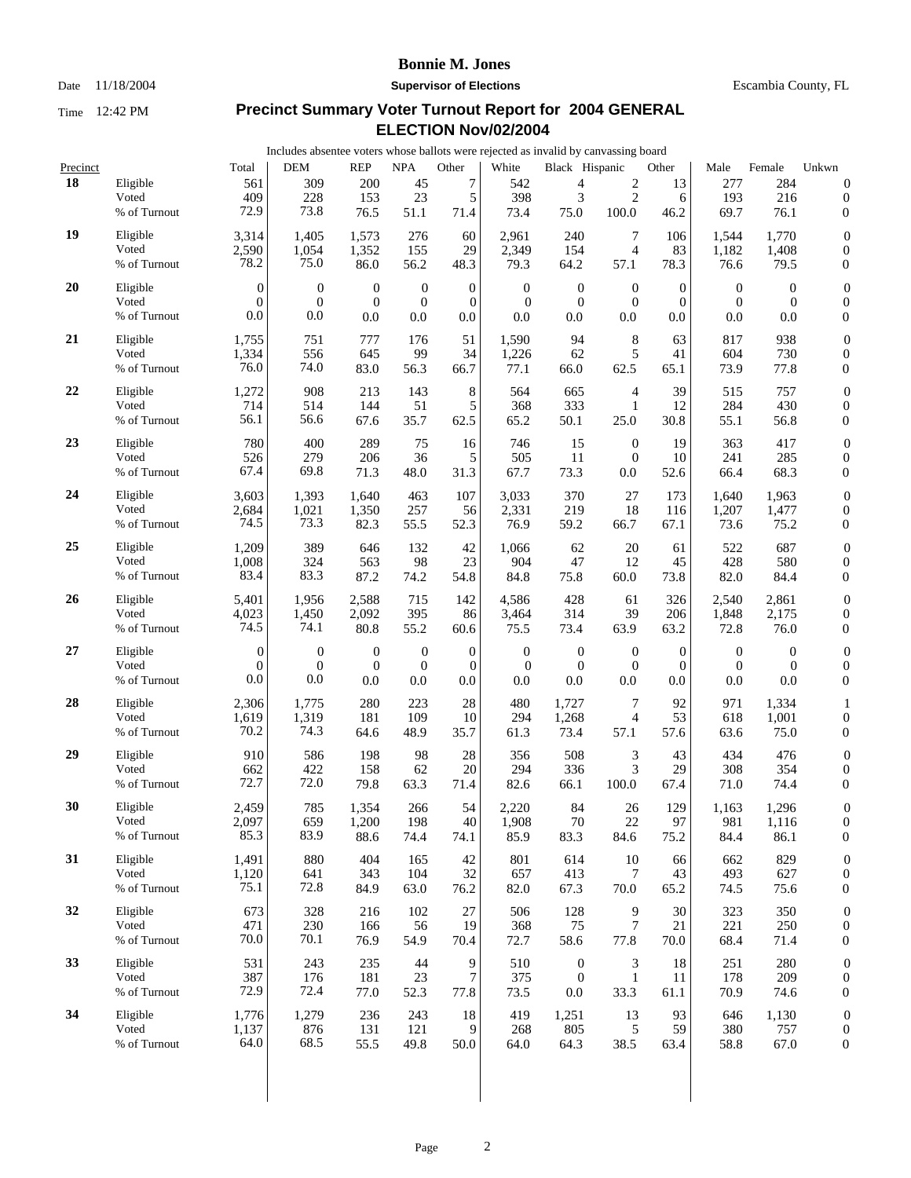Date 11/18/2004 **Supervisor of Elections** Escambia County, FL

| Includes absentee voters whose ballots were rejected as invalid by canvassing board |  |
|-------------------------------------------------------------------------------------|--|
|-------------------------------------------------------------------------------------|--|

| Precinct |              | Total            | <b>DEM</b>       | <b>REP</b>   | <b>NPA</b>       | Other            | White            | Black Hispanic   |                | Other            | Male             | Female           | Unkwn            |
|----------|--------------|------------------|------------------|--------------|------------------|------------------|------------------|------------------|----------------|------------------|------------------|------------------|------------------|
| 18       | Eligible     | 561              | 309              | 200          | 45               | 7                | 542              | 4                | $\overline{c}$ | 13               | 277              | 284              | $\boldsymbol{0}$ |
|          | Voted        | 409              | 228              | 153          | 23               | 5                | 398              | 3                | $\overline{2}$ | 6                | 193              | 216              | $\boldsymbol{0}$ |
|          | % of Turnout | 72.9             | 73.8             | 76.5         | 51.1             | 71.4             | 73.4             | 75.0             | 100.0          | 46.2             | 69.7             | 76.1             | $\boldsymbol{0}$ |
| 19       | Eligible     | 3,314            | 1,405            | 1,573        | 276              | 60               | 2,961            | 240              | 7              | 106              | 1,544            | 1.770            | $\boldsymbol{0}$ |
|          | Voted        | 2,590            | 1,054            | 1,352        | 155              | 29               | 2,349            | 154              | 4              | 83               | 1,182            | 1,408            | $\boldsymbol{0}$ |
|          | % of Turnout | 78.2             | 75.0             | 86.0         | 56.2             | 48.3             | 79.3             | 64.2             | 57.1           | 78.3             | 76.6             | 79.5             | $\boldsymbol{0}$ |
| 20       | Eligible     | $\boldsymbol{0}$ | $\boldsymbol{0}$ | $\mathbf{0}$ | $\mathbf{0}$     | $\boldsymbol{0}$ | $\boldsymbol{0}$ | $\boldsymbol{0}$ | $\mathbf{0}$   | $\boldsymbol{0}$ | $\boldsymbol{0}$ | $\mathbf{0}$     | $\boldsymbol{0}$ |
|          | Voted        | $\Omega$         | $\overline{0}$   | $\mathbf{0}$ | $\boldsymbol{0}$ | $\mathbf{0}$     | $\boldsymbol{0}$ | $\boldsymbol{0}$ | $\mathbf{0}$   | $\overline{0}$   | $\boldsymbol{0}$ | $\theta$         | $\boldsymbol{0}$ |
|          | % of Turnout | 0.0              | 0.0              | 0.0          | 0.0              | 0.0              | 0.0              | 0.0              | 0.0            | 0.0              | 0.0              | 0.0              | $\boldsymbol{0}$ |
| 21       | Eligible     | 1,755            | 751              | 777          | 176              | 51               | 1,590            | 94               | $8\phantom{1}$ | 63               | 817              | 938              | $\boldsymbol{0}$ |
|          | Voted        | 1,334            | 556              | 645          | 99               | 34               | 1,226            | 62               | 5              | 41               | 604              | 730              | $\boldsymbol{0}$ |
|          | % of Turnout | 76.0             | 74.0             | 83.0         | 56.3             | 66.7             | 77.1             | 66.0             | 62.5           | 65.1             | 73.9             | 77.8             | $\boldsymbol{0}$ |
| 22       | Eligible     | 1,272            | 908              | 213          | 143              | 8                | 564              | 665              | $\overline{4}$ | 39               | 515              | 757              | $\boldsymbol{0}$ |
|          | Voted        | 714              | 514              | 144          | 51               | 5                | 368              | 333              | $\mathbf{1}$   | 12               | 284              | 430              | $\boldsymbol{0}$ |
|          | % of Turnout | 56.1             | 56.6             | 67.6         | 35.7             | 62.5             | 65.2             | 50.1             | 25.0           | 30.8             | 55.1             | 56.8             | $\boldsymbol{0}$ |
| 23       | Eligible     | 780              | 400              | 289          | 75               | 16               | 746              | 15               | $\mathbf{0}$   | 19               | 363              | 417              | $\boldsymbol{0}$ |
|          | Voted        | 526              | 279              | 206          | 36               | 5                | 505              | 11               | $\mathbf{0}$   | 10               | 241              | 285              | $\boldsymbol{0}$ |
|          | % of Turnout | 67.4             | 69.8             | 71.3         | 48.0             | 31.3             | 67.7             | 73.3             | 0.0            | 52.6             | 66.4             | 68.3             | $\boldsymbol{0}$ |
| 24       | Eligible     | 3,603            | 1,393            | 1,640        | 463              | 107              | 3,033            | 370              | 27             | 173              | 1,640            | 1,963            | $\boldsymbol{0}$ |
|          | Voted        | 2,684            | 1,021            | 1,350        | 257              | 56               | 2,331            | 219              | 18             | 116              | 1,207            | 1,477            | $\boldsymbol{0}$ |
|          | % of Turnout | 74.5             | 73.3             | 82.3         | 55.5             | 52.3             | 76.9             | 59.2             | 66.7           | 67.1             | 73.6             | 75.2             | $\boldsymbol{0}$ |
| 25       | Eligible     | 1,209            | 389              | 646          | 132              | 42               | 1,066            | 62               | 20             | 61               | 522              | 687              | $\boldsymbol{0}$ |
|          | Voted        | 1,008            | 324              | 563          | 98               | 23               | 904              | 47               | 12             | 45               | 428              | 580              | $\boldsymbol{0}$ |
|          | % of Turnout | 83.4             | 83.3             | 87.2         | 74.2             | 54.8             | 84.8             | 75.8             | 60.0           | 73.8             | 82.0             | 84.4             | $\boldsymbol{0}$ |
| 26       | Eligible     | 5,401            | 1,956            | 2,588        | 715              | 142              | 4,586            | 428              | 61             | 326              | 2,540            | 2,861            | $\boldsymbol{0}$ |
|          | Voted        | 4,023            | 1,450            | 2,092        | 395              | 86               | 3,464            | 314              | 39             | 206              | 1,848            | 2,175            | $\boldsymbol{0}$ |
|          | % of Turnout | 74.5             | 74.1             | 80.8         | 55.2             | 60.6             | 75.5             | 73.4             | 63.9           | 63.2             | 72.8             | 76.0             | $\boldsymbol{0}$ |
| 27       | Eligible     | $\boldsymbol{0}$ | $\boldsymbol{0}$ | $\mathbf{0}$ | $\boldsymbol{0}$ | $\boldsymbol{0}$ | $\mathbf{0}$     | $\boldsymbol{0}$ | $\mathbf{0}$   | $\boldsymbol{0}$ | $\boldsymbol{0}$ | $\boldsymbol{0}$ | $\boldsymbol{0}$ |
|          | Voted        | $\mathbf{0}$     | $\overline{0}$   | $\mathbf{0}$ | $\boldsymbol{0}$ | $\boldsymbol{0}$ | $\overline{0}$   | $\boldsymbol{0}$ | $\theta$       | $\theta$         | $\theta$         | $\overline{0}$   | $\boldsymbol{0}$ |
|          | % of Turnout | 0.0              | 0.0              | 0.0          | 0.0              | 0.0              | 0.0              | 0.0              | 0.0            | 0.0              | 0.0              | 0.0              | $\boldsymbol{0}$ |
| 28       | Eligible     | 2,306            | 1,775            | 280          | 223              | 28               | 480              | 1,727            | $\overline{7}$ | 92               | 971              | 1,334            | 1                |
|          | Voted        | 1,619            | 1,319            | 181          | 109              | 10               | 294              | 1,268            | 4              | 53               | 618              | 1,001            | $\boldsymbol{0}$ |
|          | % of Turnout | 70.2             | 74.3             | 64.6         | 48.9             | 35.7             | 61.3             | 73.4             | 57.1           | 57.6             | 63.6             | 75.0             | $\boldsymbol{0}$ |
| 29       | Eligible     | 910              | 586              | 198          | 98               | 28               | 356              | 508              | 3              | 43               | 434              | 476              | $\boldsymbol{0}$ |
|          | Voted        | 662              | 422              | 158          | 62               | 20               | 294              | 336              | 3              | 29               | 308              | 354              | $\boldsymbol{0}$ |
|          | % of Turnout | 72.7             | 72.0             | 79.8         | 63.3             | 71.4             | 82.6             | 66.1             | 100.0          | 67.4             | 71.0             | 74.4             | $\boldsymbol{0}$ |
| 30       | Eligible     | 2,459            | 785              | 1,354        | 266              | 54               | 2,220            | 84               | 26             | 129              | 1,163            | 1,296            | $\boldsymbol{0}$ |
|          | Voted        | 2,097            | 659              | 1,200        | 198              | 40               | 1,908            | 70               | 22             | 97               | 981              | 1,116            | $\boldsymbol{0}$ |
|          | % of Turnout | 85.3             | 83.9             | 88.6         | 74.4             | 74.1             | 85.9             | 83.3             | 84.6           | 75.2             | 84.4             | 86.1             | 0                |
| 31       | Eligible     | 1,491            | 880              | 404          | 165              | 42               | 801              | 614              | 10             | 66               | 662              | 829              | $\boldsymbol{0}$ |
|          | Voted        | 1,120            | 641              | 343          | 104              | 32               | 657              | 413              | 7              | 43               | 493              | 627              | $\boldsymbol{0}$ |
|          | % of Turnout | 75.1             | 72.8             | 84.9         | 63.0             | 76.2             | 82.0             | 67.3             | 70.0           | 65.2             | 74.5             | 75.6             | $\mathbf{0}$     |
| 32       | Eligible     | 673              | 328              | 216          | 102              | 27               | 506              | 128              | 9              | 30               | 323              | 350              | $\boldsymbol{0}$ |
|          | Voted        | 471              | 230              | 166          | 56               | 19               | 368              | 75               | 7              | 21               | 221              | 250              | $\boldsymbol{0}$ |
|          | % of Turnout | 70.0             | 70.1             | 76.9         | 54.9             | 70.4             | 72.7             | 58.6             | 77.8           | 70.0             | 68.4             | 71.4             | $\boldsymbol{0}$ |
| 33       | Eligible     | 531              | 243              | 235          | 44               | 9                | 510              | $\boldsymbol{0}$ | 3              | 18               | 251              | 280              | $\boldsymbol{0}$ |
|          | Voted        | 387              | 176              | 181          | 23               | 7                | 375              | $\boldsymbol{0}$ | $\mathbf{1}$   | 11               | 178              | 209              | $\boldsymbol{0}$ |
|          | % of Turnout | 72.9             | 72.4             | 77.0         | 52.3             | 77.8             | 73.5             | 0.0              | 33.3           | 61.1             | 70.9             | 74.6             | $\mathbf{0}$     |
| 34       | Eligible     | 1,776            | 1,279            | 236          | 243              | 18               | 419              | 1,251            | 13             | 93               | 646              | 1,130            | $\boldsymbol{0}$ |
|          | Voted        | 1,137            | 876              | 131          | 121              | 9                | 268              | 805              | 5              | 59               | 380              | 757              | $\boldsymbol{0}$ |
|          | % of Turnout | 64.0             | 68.5             | 55.5         | 49.8             | 50.0             | 64.0             | 64.3             | 38.5           | 63.4             | 58.8             | 67.0             | $\mathbf{0}$     |
|          |              |                  |                  |              |                  |                  |                  |                  |                |                  |                  |                  |                  |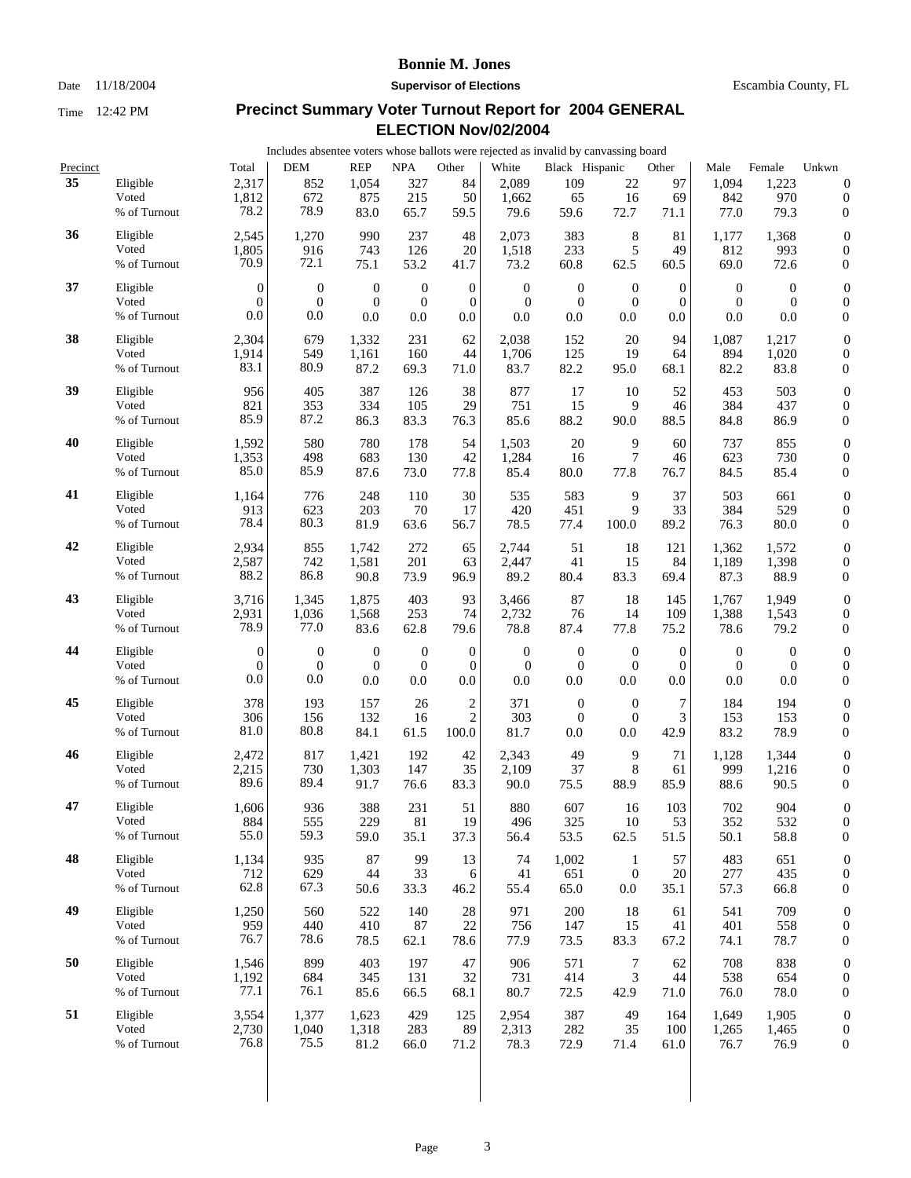### Date 11/18/2004 **Supervisor of Elections** Escambia County, FL

|          |                       |                  | Includes absentee voters whose ballots were rejected as invalid by canvassing board |                  |                  |                  |                  |                  |                  |                  |                  |                  |                                      |
|----------|-----------------------|------------------|-------------------------------------------------------------------------------------|------------------|------------------|------------------|------------------|------------------|------------------|------------------|------------------|------------------|--------------------------------------|
| Precinct |                       | Total            | <b>DEM</b>                                                                          | <b>REP</b>       | <b>NPA</b>       | Other            | White            | Black Hispanic   |                  | Other            | Male             | Female           | Unkwn                                |
| 35       | Eligible              | 2,317            | 852                                                                                 | 1,054            | 327              | 84               | 2,089            | 109              | 22               | 97               | 1,094            | 1,223            | $\boldsymbol{0}$                     |
|          | Voted                 | 1,812            | 672                                                                                 | 875              | 215              | 50               | 1,662            | 65               | 16               | 69               | 842              | 970              | $\boldsymbol{0}$                     |
|          | % of Turnout          | 78.2             | 78.9                                                                                | 83.0             | 65.7             | 59.5             | 79.6             | 59.6             | 72.7             | 71.1             | 77.0             | 79.3             | $\boldsymbol{0}$                     |
| 36       | Eligible              | 2,545            | 1,270                                                                               | 990              | 237              | 48               | 2,073            | 383              | 8                | 81               | 1,177            | 1,368            | $\boldsymbol{0}$                     |
|          | Voted                 | 1,805            | 916                                                                                 | 743              | 126              | 20               | 1,518            | 233              | 5                | 49               | 812              | 993              | $\boldsymbol{0}$                     |
|          | % of Turnout          | 70.9             | 72.1                                                                                | 75.1             | 53.2             | 41.7             | 73.2             | 60.8             | 62.5             | 60.5             | 69.0             | 72.6             | $\boldsymbol{0}$                     |
| 37       | Eligible              | $\theta$         | $\boldsymbol{0}$                                                                    | $\boldsymbol{0}$ | $\boldsymbol{0}$ | $\boldsymbol{0}$ | $\boldsymbol{0}$ | $\boldsymbol{0}$ | $\boldsymbol{0}$ | $\boldsymbol{0}$ | $\boldsymbol{0}$ | $\boldsymbol{0}$ | $\boldsymbol{0}$                     |
|          | Voted                 | $\mathbf{0}$     | $\overline{0}$                                                                      | $\mathbf{0}$     | $\boldsymbol{0}$ | $\mathbf{0}$     | $\theta$         | $\boldsymbol{0}$ | $\mathbf{0}$     | $\theta$         | $\mathbf{0}$     | $\boldsymbol{0}$ | $\boldsymbol{0}$                     |
|          | % of Turnout          | 0.0              | 0.0                                                                                 | 0.0              | 0.0              | 0.0              | 0.0              | 0.0              | 0.0              | 0.0              | 0.0              | 0.0              | $\boldsymbol{0}$                     |
| 38       | Eligible              | 2,304            | 679                                                                                 | 1,332            | 231              | 62               | 2,038            | 152              | 20               | 94               | 1,087            | 1,217            | $\boldsymbol{0}$                     |
|          | Voted                 | 1,914            | 549                                                                                 | 1,161            | 160              | 44               | 1,706            | 125              | 19               | 64               | 894              | 1,020            | $\boldsymbol{0}$                     |
|          | % of Turnout          | 83.1             | 80.9                                                                                | 87.2             | 69.3             | 71.0             | 83.7             | 82.2             | 95.0             | 68.1             | 82.2             | 83.8             | $\boldsymbol{0}$                     |
| 39       |                       |                  |                                                                                     |                  |                  |                  |                  |                  |                  |                  |                  |                  |                                      |
|          | Eligible<br>Voted     | 956<br>821       | 405<br>353                                                                          | 387<br>334       | 126<br>105       | 38<br>29         | 877<br>751       | 17<br>15         | 10<br>9          | 52<br>46         | 453<br>384       | 503<br>437       | $\boldsymbol{0}$<br>$\boldsymbol{0}$ |
|          | % of Turnout          | 85.9             | 87.2                                                                                | 86.3             | 83.3             | 76.3             | 85.6             | 88.2             | 90.0             | 88.5             | 84.8             | 86.9             | $\boldsymbol{0}$                     |
|          |                       |                  |                                                                                     |                  |                  |                  |                  |                  |                  |                  |                  |                  |                                      |
| 40       | Eligible<br>Voted     | 1,592            | 580<br>498                                                                          | 780<br>683       | 178              | 54<br>42         | 1,503            | 20               | 9<br>7           | 60               | 737<br>623       | 855<br>730       | $\boldsymbol{0}$                     |
|          | % of Turnout          | 1,353<br>85.0    | 85.9                                                                                | 87.6             | 130<br>73.0      | 77.8             | 1,284<br>85.4    | 16<br>80.0       | 77.8             | 46<br>76.7       | 84.5             | 85.4             | $\boldsymbol{0}$<br>$\boldsymbol{0}$ |
|          |                       |                  |                                                                                     |                  |                  |                  |                  |                  |                  |                  |                  |                  |                                      |
| 41       | Eligible              | 1,164            | 776                                                                                 | 248              | 110              | 30               | 535              | 583              | 9                | 37               | 503              | 661              | $\boldsymbol{0}$                     |
|          | Voted<br>% of Turnout | 913<br>78.4      | 623<br>80.3                                                                         | 203<br>81.9      | 70<br>63.6       | 17<br>56.7       | 420<br>78.5      | 451<br>77.4      | 9<br>100.0       | 33<br>89.2       | 384<br>76.3      | 529<br>80.0      | $\boldsymbol{0}$<br>$\boldsymbol{0}$ |
|          |                       |                  |                                                                                     |                  |                  |                  |                  |                  |                  |                  |                  |                  |                                      |
| 42       | Eligible              | 2,934            | 855                                                                                 | 1,742            | 272              | 65               | 2,744            | 51               | 18               | 121              | 1,362            | 1,572            | $\boldsymbol{0}$                     |
|          | Voted                 | 2,587            | 742                                                                                 | 1,581            | 201              | 63               | 2,447            | 41               | 15               | 84               | 1,189            | 1,398            | $\boldsymbol{0}$                     |
|          | % of Turnout          | 88.2             | 86.8                                                                                | 90.8             | 73.9             | 96.9             | 89.2             | 80.4             | 83.3             | 69.4             | 87.3             | 88.9             | $\boldsymbol{0}$                     |
| 43       | Eligible              | 3,716            | 1,345                                                                               | 1,875            | 403              | 93               | 3,466            | 87               | 18               | 145              | 1,767            | 1,949            | $\boldsymbol{0}$                     |
|          | Voted                 | 2,931            | 1,036                                                                               | 1,568            | 253              | 74               | 2,732            | 76               | 14               | 109              | 1,388            | 1,543            | $\boldsymbol{0}$                     |
|          | % of Turnout          | 78.9             | 77.0                                                                                | 83.6             | 62.8             | 79.6             | 78.8             | 87.4             | 77.8             | 75.2             | 78.6             | 79.2             | $\boldsymbol{0}$                     |
| 44       | Eligible              | $\boldsymbol{0}$ | $\boldsymbol{0}$                                                                    | $\boldsymbol{0}$ | $\boldsymbol{0}$ | $\boldsymbol{0}$ | $\boldsymbol{0}$ | $\mathbf{0}$     | $\mathbf{0}$     | $\boldsymbol{0}$ | $\boldsymbol{0}$ | $\boldsymbol{0}$ | $\boldsymbol{0}$                     |
|          | Voted                 | $\overline{0}$   | $\overline{0}$                                                                      | $\mathbf{0}$     | $\mathbf{0}$     | $\overline{0}$   | $\overline{0}$   | $\boldsymbol{0}$ | $\overline{0}$   | $\overline{0}$   | $\mathbf{0}$     | $\boldsymbol{0}$ | $\boldsymbol{0}$                     |
|          | % of Turnout          | 0.0              | 0.0                                                                                 | 0.0              | 0.0              | 0.0              | 0.0              | $0.0\,$          | $0.0\,$          | 0.0              | 0.0              | 0.0              | $\boldsymbol{0}$                     |
| 45       | Eligible              | 378              | 193                                                                                 | 157              | 26               | $\overline{2}$   | 371              | $\mathbf{0}$     | $\mathbf{0}$     | 7                | 184              | 194              | $\boldsymbol{0}$                     |
|          | Voted                 | 306              | 156                                                                                 | 132              | 16               | $\overline{2}$   | 303              | $\boldsymbol{0}$ | $\theta$         | 3                | 153              | 153              | $\boldsymbol{0}$                     |
|          | % of Turnout          | 81.0             | 80.8                                                                                | 84.1             | 61.5             | 100.0            | 81.7             | 0.0              | 0.0              | 42.9             | 83.2             | 78.9             | $\boldsymbol{0}$                     |
| 46       | Eligible              | 2,472            | 817                                                                                 | 1,421            | 192              | 42               | 2,343            | 49               | 9                | 71               | 1,128            | 1,344            | $\boldsymbol{0}$                     |
|          | Voted                 | 2,215            | 730                                                                                 | 1,303            | 147              | 35               | 2,109            | 37               | 8                | 61               | 999              | 1,216            | $\boldsymbol{0}$                     |
|          | % of Turnout          | 89.6             | 89.4                                                                                | 91.7             | 76.6             | 83.3             | 90.0             | 75.5             | 88.9             | 85.9             | 88.6             | 90.5             | $\boldsymbol{0}$                     |
| 47       | Eligible              | 1,606            | 936                                                                                 | 388              | 231              | 51               | 880              | 607              | 16               | 103              | 702              | 904              | $\overline{0}$                       |
|          | Voted                 | 884              | 555                                                                                 | 229              | 81               | 19               | 496              | 325              | 10               | 53               | 352              | 532              | $\boldsymbol{0}$                     |
|          | % of Turnout          | 55.0             | 59.3                                                                                | 59.0             | 35.1             | 37.3             | 56.4             | 53.5             | 62.5             | 51.5             | 50.1             | 58.8             | $\boldsymbol{0}$                     |
| 48       | Eligible              | 1,134            | 935                                                                                 | 87               | 99               | 13               | 74               | 1,002            | $\mathbf{1}$     | 57               | 483              | 651              | $\boldsymbol{0}$                     |
|          | Voted                 | 712              | 629                                                                                 | 44               | 33               | 6                | 41               | 651              | $\mathbf{0}$     | 20               | 277              | 435              | $\boldsymbol{0}$                     |
|          | % of Turnout          | 62.8             | 67.3                                                                                | 50.6             | 33.3             | 46.2             | 55.4             | 65.0             | 0.0              | 35.1             | 57.3             | 66.8             | $\boldsymbol{0}$                     |
| 49       | Eligible              | 1,250            | 560                                                                                 | 522              | 140              | 28               | 971              | 200              | 18               | 61               | 541              | 709              | $\boldsymbol{0}$                     |
|          | Voted                 | 959              | 440                                                                                 | 410              | 87               | 22               | 756              | 147              | 15               | 41               | 401              | 558              | $\boldsymbol{0}$                     |
|          | % of Turnout          | 76.7             | 78.6                                                                                | 78.5             | 62.1             | 78.6             | 77.9             | 73.5             | 83.3             | 67.2             | 74.1             | 78.7             | $\boldsymbol{0}$                     |
| 50       | Eligible              | 1,546            | 899                                                                                 | 403              | 197              | 47               | 906              | 571              | 7                | 62               | 708              | 838              | $\boldsymbol{0}$                     |
|          | Voted                 | 1,192            | 684                                                                                 | 345              | 131              | 32               | 731              | 414              | 3                | 44               | 538              | 654              | $\boldsymbol{0}$                     |
|          | % of Turnout          | 77.1             | 76.1                                                                                | 85.6             | 66.5             | 68.1             | 80.7             | 72.5             | 42.9             | 71.0             | 76.0             | 78.0             | $\boldsymbol{0}$                     |
| 51       | Eligible              |                  |                                                                                     |                  | 429              | 125              | 2,954            |                  | 49               | 164              |                  |                  |                                      |
|          | Voted                 | 3,554<br>2,730   | 1,377<br>1,040                                                                      | 1,623<br>1,318   | 283              | 89               | 2,313            | 387<br>282       | 35               | 100              | 1,649<br>1,265   | 1,905<br>1,465   | $\boldsymbol{0}$<br>$\boldsymbol{0}$ |
|          | % of Turnout          | 76.8             | 75.5                                                                                | 81.2             | 66.0             | 71.2             | 78.3             | 72.9             | 71.4             | 61.0             | 76.7             | 76.9             | $\boldsymbol{0}$                     |
|          |                       |                  |                                                                                     |                  |                  |                  |                  |                  |                  |                  |                  |                  |                                      |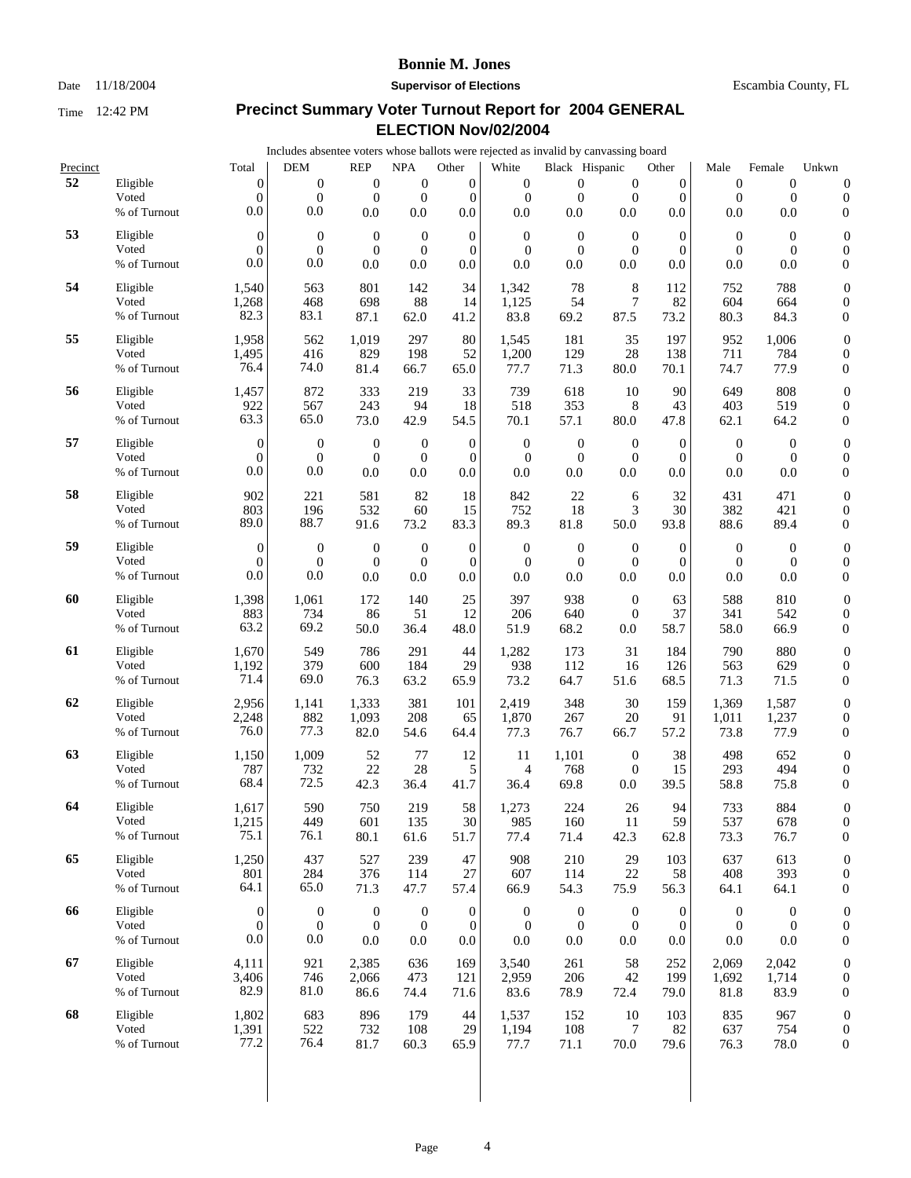Date 11/18/2004 **Supervisor of Elections** Escambia County, FL

 0 0

 0 0 0

 0 0 0

 0 0 0

 0 0 0

 0 0 0

 0 0 0

 0 0 0

 0 0 0

 0 0 0

 0 0 0

 0 0 0

 0 0 0

 0 0 0

 0 0 0

 0 0 0

 0 0 0

# **Precinct Summary Voter Turnout Report for 2004 GENERAL**  Time 12:42 PM

| <b>Fime</b> | 12:42 PM          |                  | Precinct Summary voter Turnout Report for 2004 GENERAL                              |                  |                  |                  | ELECTION Nov/02/2004 |                  |                  |                |                  |                  |                                      |
|-------------|-------------------|------------------|-------------------------------------------------------------------------------------|------------------|------------------|------------------|----------------------|------------------|------------------|----------------|------------------|------------------|--------------------------------------|
|             |                   |                  | Includes absentee voters whose ballots were rejected as invalid by canvassing board |                  |                  |                  |                      |                  |                  |                |                  |                  |                                      |
| Precinct    |                   | Total            | <b>DEM</b>                                                                          | <b>REP</b>       | <b>NPA</b>       | Other            | White                | Black Hispanic   |                  | Other          | Male             | Female           | Unkwn                                |
| 52          | Eligible          | $\boldsymbol{0}$ | $\mathbf{0}$                                                                        | $\boldsymbol{0}$ | $\boldsymbol{0}$ | $\boldsymbol{0}$ | $\mathbf{0}$         | $\boldsymbol{0}$ | $\mathbf{0}$     | $\mathbf{0}$   | $\boldsymbol{0}$ | $\boldsymbol{0}$ | $\boldsymbol{0}$                     |
|             | Voted             | $\overline{0}$   | $\mathbf{0}$                                                                        | $\mathbf{0}$     | $\boldsymbol{0}$ | $\mathbf{0}$     | $\mathbf{0}$         | $\mathbf{0}$     | $\mathbf{0}$     | $\mathbf{0}$   | $\mathbf{0}$     | $\mathbf{0}$     | $\boldsymbol{0}$                     |
|             | % of Turnout      | 0.0              | 0.0                                                                                 | 0.0              | 0.0              | 0.0              | 0.0                  | 0.0              | 0.0              | 0.0            | 0.0              | 0.0              | 0                                    |
| 53          | Eligible          | $\theta$         | $\boldsymbol{0}$                                                                    | $\boldsymbol{0}$ | $\mathbf{0}$     | $\mathbf{0}$     | $\mathbf{0}$         | $\mathbf{0}$     | $\boldsymbol{0}$ | $\theta$       | $\mathbf{0}$     | $\mathbf{0}$     | $\boldsymbol{0}$                     |
|             | Voted             | $\mathbf{0}$     | $\mathbf{0}$                                                                        | $\mathbf{0}$     | $\boldsymbol{0}$ | $\mathbf{0}$     | $\overline{0}$       | $\mathbf{0}$     | $\theta$         | $\theta$       | $\mathbf{0}$     | $\overline{0}$   | $\boldsymbol{0}$                     |
|             | % of Turnout      | 0.0              | 0.0                                                                                 | 0.0              | 0.0              | 0.0              | 0.0                  | 0.0              | 0.0              | 0.0            | 0.0              | 0.0              | $\boldsymbol{0}$                     |
| 54          | Eligible          |                  | 563                                                                                 | 801              | 142              | 34               |                      | 78               |                  | 112            |                  | 788              |                                      |
|             | Voted             | 1,540<br>1,268   | 468                                                                                 | 698              | 88               | 14               | 1,342<br>1,125       | 54               | 8<br>$\tau$      | 82             | 752<br>604       | 664              | $\boldsymbol{0}$<br>$\boldsymbol{0}$ |
|             | % of Turnout      | 82.3             | 83.1                                                                                | 87.1             | 62.0             | 41.2             | 83.8                 | 69.2             | 87.5             | 73.2           | 80.3             | 84.3             | $\mathbf{0}$                         |
|             |                   |                  |                                                                                     |                  |                  |                  |                      |                  |                  |                |                  |                  |                                      |
| 55          | Eligible          | 1,958            | 562                                                                                 | 1,019            | 297              | 80               | 1,545                | 181              | 35               | 197            | 952              | 1,006            | $\boldsymbol{0}$                     |
|             | Voted             | 1,495            | 416                                                                                 | 829              | 198              | 52               | 1,200                | 129              | 28               | 138            | 711              | 784              | $\boldsymbol{0}$                     |
|             | % of Turnout      | 76.4             | 74.0                                                                                | 81.4             | 66.7             | 65.0             | 77.7                 | 71.3             | 80.0             | 70.1           | 74.7             | 77.9             | $\boldsymbol{0}$                     |
| 56          | Eligible          | 1,457            | 872                                                                                 | 333              | 219              | 33               | 739                  | 618              | 10               | 90             | 649              | 808              | $\mathbf{0}$                         |
|             | Voted             | 922              | 567                                                                                 | 243              | 94               | 18               | 518                  | 353              | 8                | 43             | 403              | 519              | $\boldsymbol{0}$                     |
|             | % of Turnout      | 63.3             | 65.0                                                                                | 73.0             | 42.9             | 54.5             | 70.1                 | 57.1             | 80.0             | 47.8           | 62.1             | 64.2             | 0                                    |
| 57          | Eligible          | $\theta$         | $\theta$                                                                            | $\boldsymbol{0}$ | $\mathbf{0}$     | $\boldsymbol{0}$ | $\mathbf{0}$         | $\boldsymbol{0}$ | $\mathbf{0}$     | $\theta$       | $\mathbf{0}$     | $\mathbf{0}$     | $\boldsymbol{0}$                     |
|             | Voted             | $\Omega$         | $\mathbf{0}$                                                                        | $\mathbf{0}$     | $\mathbf{0}$     | $\mathbf{0}$     | $\mathbf{0}$         | $\boldsymbol{0}$ | $\theta$         | $\overline{0}$ | $\mathbf{0}$     | $\mathbf{0}$     | $\boldsymbol{0}$                     |
|             | % of Turnout      | 0.0              | 0.0                                                                                 | 0.0              | 0.0              | 0.0              | 0.0                  | 0.0              | 0.0              | 0.0            | 0.0              | 0.0              | $\boldsymbol{0}$                     |
| 58          | Eligible          | 902              | 221                                                                                 | 581              | 82               | 18               | 842                  | 22               | 6                | 32             | 431              | 471              | $\boldsymbol{0}$                     |
|             | Voted             | 803              | 196                                                                                 | 532              | 60               | 15               | 752                  | 18               | 3                | 30             | 382              | 421              | $\boldsymbol{0}$                     |
|             | % of Turnout      | 89.0             | 88.7                                                                                | 91.6             | 73.2             | 83.3             | 89.3                 | 81.8             | 50.0             | 93.8           | 88.6             | 89.4             | 0                                    |
| 59          | Eligible          | $\boldsymbol{0}$ | $\mathbf{0}$                                                                        | $\boldsymbol{0}$ | $\boldsymbol{0}$ | $\mathbf{0}$     | $\boldsymbol{0}$     | $\boldsymbol{0}$ | $\mathbf{0}$     | $\mathbf{0}$   | $\boldsymbol{0}$ | $\boldsymbol{0}$ | $\boldsymbol{0}$                     |
|             | Voted             | $\mathbf{0}$     | $\boldsymbol{0}$                                                                    | $\mathbf{0}$     | $\boldsymbol{0}$ | $\boldsymbol{0}$ | $\overline{0}$       | $\boldsymbol{0}$ | $\boldsymbol{0}$ | $\theta$       | $\mathbf{0}$     | $\boldsymbol{0}$ | $\boldsymbol{0}$                     |
|             | % of Turnout      | 0.0              | 0.0                                                                                 | 0.0              | 0.0              | 0.0              | 0.0                  | 0.0              | 0.0              | 0.0            | 0.0              | 0.0              | $\boldsymbol{0}$                     |
| 60          | Eligible          |                  | 1,061                                                                               | 172              | 140              | 25               | 397                  | 938              | $\mathbf{0}$     | 63             | 588              | 810              |                                      |
|             | Voted             | 1,398<br>883     | 734                                                                                 | 86               | 51               | 12               | 206                  | 640              | $\theta$         | 37             | 341              | 542              | $\boldsymbol{0}$<br>$\boldsymbol{0}$ |
|             | % of Turnout      | 63.2             | 69.2                                                                                | 50.0             | 36.4             | 48.0             | 51.9                 | 68.2             | 0.0              | 58.7           | 58.0             | 66.9             | $\mathbf{0}$                         |
|             |                   |                  |                                                                                     |                  |                  |                  |                      |                  |                  |                |                  |                  |                                      |
| 61          | Eligible<br>Voted | 1,670<br>1,192   | 549<br>379                                                                          | 786<br>600       | 291<br>184       | 44<br>29         | 1,282                | 173              | 31<br>16         | 184<br>126     | 790<br>563       | 880              | $\boldsymbol{0}$                     |
|             | % of Turnout      | 71.4             | 69.0                                                                                | 76.3             |                  | 65.9             | 938                  | 112              |                  |                |                  | 629<br>71.5      | $\boldsymbol{0}$                     |
|             |                   |                  |                                                                                     |                  | 63.2             |                  | 73.2                 | 64.7             | 51.6             | 68.5           | 71.3             |                  | $\boldsymbol{0}$                     |
| 62          | Eligible          | 2,956            | 1,141                                                                               | 1,333            | 381              | 101              | 2,419                | 348              | 30               | 159            | 1,369            | 1,587            | $\boldsymbol{0}$                     |
|             | Voted             | 2,248            | 882                                                                                 | 1,093            | 208              | 65               | 1,870                | 267              | 20               | 91             | 1,011            | 1,237            | $\boldsymbol{0}$                     |
|             | % of Turnout      | 76.0             | 77.3                                                                                | 82.0             | 54.6             | 64.4             | 77.3                 | 76.7             | 66.7             | 57.2           | 73.8             | 77.9             | 0                                    |
| 63          | Eligible          | 1,150            | 1,009                                                                               | 52               | 77               | 12               | 11                   | 1,101            | $\mathbf{0}$     | 38             | 498              | 652              | $\boldsymbol{0}$                     |
|             | Voted             | 787              | 732                                                                                 | 22               | 28               | 5                | $\overline{4}$       | 768              | $\overline{0}$   | 15             | 293              | 494              | $\overline{0}$                       |
|             | % of Turnout      | 68.4             | 72.5                                                                                | 42.3             | 36.4             | 41.7             | 36.4                 | 69.8             | 0.0              | 39.5           | 58.8             | 75.8             | $\boldsymbol{0}$                     |
| 64          | Eligible          | 1,617            | 590                                                                                 | 750              | 219              | 58               | 1,273                | 224              | 26               | 94             | 733              | 884              | $\boldsymbol{0}$                     |
|             | Voted             | 1,215            | 449                                                                                 | 601              | 135              | 30               | 985                  | 160              | 11               | 59             | 537              | 678              | $\boldsymbol{0}$                     |
|             | % of Turnout      | 75.1             | 76.1                                                                                | 80.1             | 61.6             | 51.7             | 77.4                 | 71.4             | 42.3             | 62.8           | 73.3             | 76.7             | $\boldsymbol{0}$                     |
| 65          | Eligible          | 1,250            | 437                                                                                 | 527              | 239              | 47               | 908                  | 210              | 29               | 103            | 637              | 613              | $\boldsymbol{0}$                     |
|             | Voted             | 801              | 284                                                                                 | 376              | 114              | 27               | 607                  | 114              | 22               | 58             | 408              | 393              | $\boldsymbol{0}$                     |
|             | % of Turnout      | 64.1             | 65.0                                                                                | 71.3             | 47.7             | 57.4             | 66.9                 | 54.3             | 75.9             | 56.3           | 64.1             | 64.1             | $\boldsymbol{0}$                     |
| 66          | Eligible          | $\boldsymbol{0}$ | $\mathbf{0}$                                                                        | $\boldsymbol{0}$ | $\boldsymbol{0}$ | $\boldsymbol{0}$ | $\boldsymbol{0}$     | $\mathbf{0}$     | $\mathbf{0}$     | $\mathbf{0}$   | $\boldsymbol{0}$ | $\boldsymbol{0}$ | $\boldsymbol{0}$                     |
|             | Voted             | $\mathbf{0}$     | $\boldsymbol{0}$                                                                    | $\mathbf{0}$     | $\boldsymbol{0}$ | $\boldsymbol{0}$ | $\boldsymbol{0}$     | $\boldsymbol{0}$ | $\mathbf{0}$     | $\overline{0}$ | $\overline{0}$   | $\boldsymbol{0}$ | $\boldsymbol{0}$                     |
|             | % of Turnout      | 0.0              | 0.0                                                                                 | 0.0              | 0.0              | 0.0              | 0.0                  | 0.0              | $0.0\,$          | 0.0            | 0.0              | 0.0              | $\boldsymbol{0}$                     |
| 67          | Eligible          | 4,111            | 921                                                                                 | 2,385            | 636              | 169              | 3,540                | 261              | 58               | 252            | 2,069            | 2,042            | $\boldsymbol{0}$                     |
|             | Voted             | 3,406            | 746                                                                                 | 2,066            | 473              | 121              | 2,959                | 206              | 42               | 199            | 1,692            | 1,714            | $\boldsymbol{0}$                     |
|             | % of Turnout      | 82.9             | 81.0                                                                                | 86.6             | 74.4             | 71.6             | 83.6                 | 78.9             | 72.4             | 79.0           | 81.8             | 83.9             | $\boldsymbol{0}$                     |
| 68          | Eligible          | 1,802            | 683                                                                                 | 896              | 179              | 44               | 1,537                | 152              | 10               | 103            | 835              | 967              | $\boldsymbol{0}$                     |
|             | Voted             | 1,391            | 522                                                                                 | 732              | 108              | 29               | 1,194                | 108              | 7                | 82             | 637              | 754              | $\boldsymbol{0}$                     |
|             | % of Turnout      | 77.2             | 76.4                                                                                | 81.7             | 60.3             | 65.9             | 77.7                 | 71.1             | 70.0             | 79.6           | 76.3             | 78.0             | $\boldsymbol{0}$                     |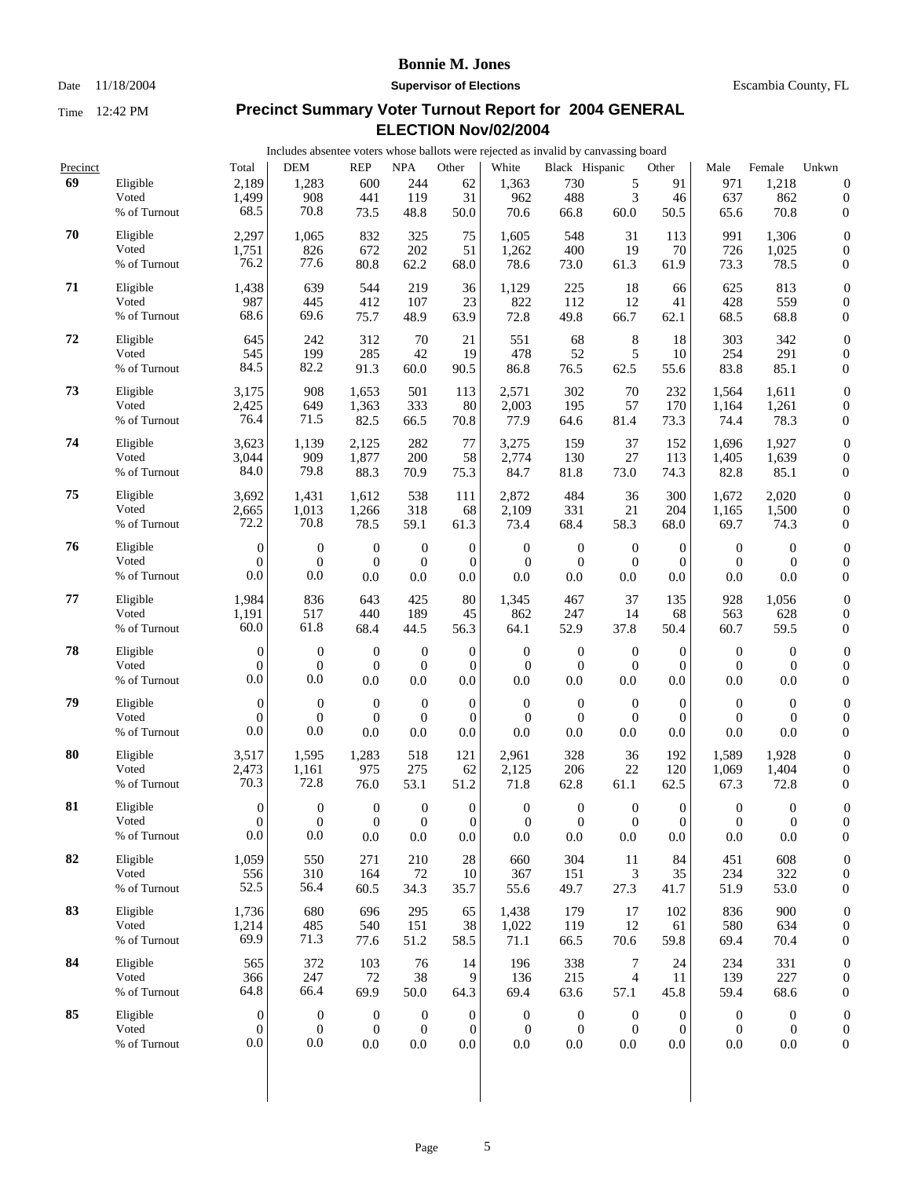### Date 11/18/2004 **Supervisor of Elections** Escambia County, FL

|          |                       |                                  | Includes absentee voters whose ballots were rejected as invalid by canvassing board |                                      |                                      |                                  |                                  |                                      |                                  |                            |                                      |                                      |                                      |
|----------|-----------------------|----------------------------------|-------------------------------------------------------------------------------------|--------------------------------------|--------------------------------------|----------------------------------|----------------------------------|--------------------------------------|----------------------------------|----------------------------|--------------------------------------|--------------------------------------|--------------------------------------|
| Precinct |                       | Total                            | <b>DEM</b>                                                                          | <b>REP</b>                           | $\rm NPA$                            | Other                            | White                            | Black Hispanic                       |                                  | Other                      | Male                                 | Female                               | Unkwn                                |
| 69       | Eligible              | 2,189                            | 1,283                                                                               | 600                                  | 244                                  | 62                               | 1,363                            | 730                                  | 5                                | 91                         | 971                                  | 1,218                                | $\boldsymbol{0}$                     |
|          | Voted                 | 1,499                            | 908                                                                                 | 441                                  | 119                                  | 31                               | 962                              | 488                                  | 3                                | 46                         | 637                                  | 862                                  | $\boldsymbol{0}$                     |
|          | % of Turnout          | 68.5                             | 70.8                                                                                | 73.5                                 | 48.8                                 | 50.0                             | 70.6                             | 66.8                                 | 60.0                             | 50.5                       | 65.6                                 | 70.8                                 | $\boldsymbol{0}$                     |
| 70       | Eligible              | 2,297                            | 1,065                                                                               | 832                                  | 325                                  | 75                               | 1,605                            | 548                                  | 31                               | 113                        | 991                                  | 1,306                                | $\boldsymbol{0}$                     |
|          | Voted                 | 1,751                            | 826                                                                                 | 672                                  | 202                                  | 51                               | 1,262                            | 400                                  | 19                               | 70                         | 726                                  | 1,025                                | $\boldsymbol{0}$                     |
|          | % of Turnout          | 76.2                             | 77.6                                                                                | 80.8                                 | 62.2                                 | 68.0                             | 78.6                             | 73.0                                 | 61.3                             | 61.9                       | 73.3                                 | 78.5                                 | $\boldsymbol{0}$                     |
|          |                       |                                  |                                                                                     |                                      |                                      |                                  |                                  |                                      |                                  |                            |                                      |                                      |                                      |
| 71       | Eligible              | 1,438                            | 639                                                                                 | 544                                  | 219                                  | 36                               | 1,129                            | 225                                  | 18                               | 66                         | 625                                  | 813                                  | $\boldsymbol{0}$                     |
|          | Voted<br>% of Turnout | 987<br>68.6                      | 445<br>69.6                                                                         | 412                                  | 107                                  | 23                               | 822                              | 112                                  | 12                               | 41                         | 428                                  | 559                                  | $\boldsymbol{0}$                     |
|          |                       |                                  |                                                                                     | 75.7                                 | 48.9                                 | 63.9                             | 72.8                             | 49.8                                 | 66.7                             | 62.1                       | 68.5                                 | 68.8                                 | $\boldsymbol{0}$                     |
| 72       | Eligible              | 645                              | 242                                                                                 | 312                                  | 70                                   | 21                               | 551                              | 68                                   | 8                                | 18                         | 303                                  | 342                                  | $\boldsymbol{0}$                     |
|          | Voted                 | 545                              | 199                                                                                 | 285                                  | 42                                   | 19                               | 478                              | 52                                   | 5                                | 10                         | 254                                  | 291                                  | $\boldsymbol{0}$                     |
|          | % of Turnout          | 84.5                             | 82.2                                                                                | 91.3                                 | 60.0                                 | 90.5                             | 86.8                             | 76.5                                 | 62.5                             | 55.6                       | 83.8                                 | 85.1                                 | $\boldsymbol{0}$                     |
| 73       | Eligible              | 3,175                            | 908                                                                                 | 1,653                                | 501                                  | 113                              | 2,571                            | 302                                  | 70                               | 232                        | 1,564                                | 1,611                                | $\boldsymbol{0}$                     |
|          | Voted                 | 2,425                            | 649                                                                                 | 1,363                                | 333                                  | 80                               | 2,003                            | 195                                  | 57                               | 170                        | 1,164                                | 1,261                                | $\boldsymbol{0}$                     |
|          | % of Turnout          | 76.4                             | 71.5                                                                                | 82.5                                 | 66.5                                 | 70.8                             | 77.9                             | 64.6                                 | 81.4                             | 73.3                       | 74.4                                 | 78.3                                 | $\boldsymbol{0}$                     |
|          |                       |                                  |                                                                                     |                                      |                                      |                                  |                                  |                                      |                                  |                            |                                      |                                      |                                      |
| 74       | Eligible              | 3,623                            | 1,139                                                                               | 2,125                                | 282                                  | 77                               | 3,275                            | 159                                  | 37                               | 152                        | 1,696                                | 1,927                                | $\boldsymbol{0}$                     |
|          | Voted                 | 3,044                            | 909                                                                                 | 1,877                                | 200                                  | 58                               | 2,774                            | 130                                  | 27                               | 113                        | 1,405                                | 1,639                                | $\boldsymbol{0}$                     |
|          | % of Turnout          | 84.0                             | 79.8                                                                                | 88.3                                 | 70.9                                 | 75.3                             | 84.7                             | 81.8                                 | 73.0                             | 74.3                       | 82.8                                 | 85.1                                 | $\boldsymbol{0}$                     |
| 75       | Eligible              | 3,692                            | 1,431                                                                               | 1,612                                | 538                                  | 111                              | 2,872                            | 484                                  | 36                               | 300                        | 1,672                                | 2,020                                | $\boldsymbol{0}$                     |
|          | Voted                 | 2,665                            | 1,013                                                                               | 1,266                                | 318                                  | 68                               | 2,109                            | 331                                  | 21                               | 204                        | 1,165                                | 1,500                                | $\boldsymbol{0}$                     |
|          | % of Turnout          | 72.2                             | 70.8                                                                                | 78.5                                 | 59.1                                 | 61.3                             | 73.4                             | 68.4                                 | 58.3                             | 68.0                       | 69.7                                 | 74.3                                 | $\boldsymbol{0}$                     |
| 76       |                       |                                  |                                                                                     |                                      |                                      |                                  |                                  |                                      |                                  |                            |                                      |                                      |                                      |
|          | Eligible<br>Voted     | $\boldsymbol{0}$<br>$\mathbf{0}$ | $\boldsymbol{0}$<br>$\mathbf{0}$                                                    | $\boldsymbol{0}$<br>$\boldsymbol{0}$ | $\boldsymbol{0}$<br>$\boldsymbol{0}$ | $\mathbf{0}$<br>$\theta$         | $\boldsymbol{0}$<br>$\mathbf{0}$ | $\mathbf{0}$<br>$\boldsymbol{0}$     | $\mathbf{0}$<br>$\overline{0}$   | $\theta$<br>$\theta$       | $\boldsymbol{0}$<br>$\mathbf{0}$     | $\boldsymbol{0}$<br>$\boldsymbol{0}$ | $\boldsymbol{0}$<br>$\boldsymbol{0}$ |
|          | % of Turnout          | 0.0                              | 0.0                                                                                 | 0.0                                  | 0.0                                  | 0.0                              | 0.0                              | 0.0                                  | 0.0                              | 0.0                        | 0.0                                  | 0.0                                  | $\boldsymbol{0}$                     |
|          |                       |                                  |                                                                                     |                                      |                                      |                                  |                                  |                                      |                                  |                            |                                      |                                      |                                      |
| 77       | Eligible              | 1,984                            | 836                                                                                 | 643                                  | 425                                  | 80                               | 1,345                            | 467                                  | 37                               | 135                        | 928                                  | 1,056                                | $\boldsymbol{0}$                     |
|          | Voted                 | 1,191                            | 517                                                                                 | 440                                  | 189                                  | 45                               | 862                              | 247                                  | 14                               | 68                         | 563                                  | 628                                  | $\boldsymbol{0}$                     |
|          | % of Turnout          | 60.0                             | 61.8                                                                                | 68.4                                 | 44.5                                 | 56.3                             | 64.1                             | 52.9                                 | 37.8                             | 50.4                       | 60.7                                 | 59.5                                 | $\boldsymbol{0}$                     |
| 78       | Eligible              | $\overline{0}$                   | $\boldsymbol{0}$                                                                    | $\mathbf{0}$                         | $\boldsymbol{0}$                     | $\boldsymbol{0}$                 | $\boldsymbol{0}$                 | $\mathbf{0}$                         | $\boldsymbol{0}$                 | $\overline{0}$             | $\boldsymbol{0}$                     | $\boldsymbol{0}$                     | $\boldsymbol{0}$                     |
|          | Voted                 | $\mathbf{0}$                     | $\mathbf{0}$                                                                        | $\mathbf{0}$                         | $\theta$                             | $\overline{0}$                   | $\mathbf{0}$                     | $\boldsymbol{0}$                     | $\overline{0}$                   | $\theta$                   | $\mathbf{0}$                         | $\theta$                             | $\boldsymbol{0}$                     |
|          | % of Turnout          | $0.0\,$                          | 0.0                                                                                 | 0.0                                  | 0.0                                  | 0.0                              | 0.0                              | 0.0                                  | 0.0                              | 0.0                        | 0.0                                  | 0.0                                  | $\boldsymbol{0}$                     |
| 79       |                       |                                  |                                                                                     |                                      |                                      |                                  |                                  |                                      |                                  |                            |                                      |                                      |                                      |
|          | Eligible<br>Voted     | $\overline{0}$<br>$\mathbf{0}$   | $\boldsymbol{0}$<br>$\Omega$                                                        | $\boldsymbol{0}$<br>$\mathbf{0}$     | $\boldsymbol{0}$<br>$\mathbf{0}$     | $\boldsymbol{0}$<br>$\mathbf{0}$ | $\mathbf{0}$<br>$\mathbf{0}$     | $\boldsymbol{0}$<br>$\boldsymbol{0}$ | $\boldsymbol{0}$<br>$\mathbf{0}$ | $\theta$<br>$\overline{0}$ | $\mathbf{0}$<br>$\mathbf{0}$         | $\overline{0}$<br>$\theta$           | $\boldsymbol{0}$<br>$\boldsymbol{0}$ |
|          | % of Turnout          | 0.0                              | 0.0                                                                                 | 0.0                                  | 0.0                                  | 0.0                              | 0.0                              | 0.0                                  | 0.0                              | 0.0                        | 0.0                                  | 0.0                                  | $\boldsymbol{0}$                     |
|          |                       |                                  |                                                                                     |                                      |                                      |                                  |                                  |                                      |                                  |                            |                                      |                                      |                                      |
| 80       | Eligible              | 3,517                            | 1,595                                                                               | 1,283                                | 518                                  | 121                              | 2,961                            | 328                                  | 36                               | 192                        | 1,589                                | 1,928                                | $\boldsymbol{0}$                     |
|          | Voted                 | 2,473                            | 1,161                                                                               | 975                                  | 275                                  | 62                               | 2,125                            | 206                                  | 22                               | 120                        | 1,069                                | 1,404                                | $\boldsymbol{0}$                     |
|          | % of Turnout          | 70.3                             | 72.8                                                                                | 76.0                                 | 53.1                                 | 51.2                             | 71.8                             | 62.8                                 | 61.1                             | 62.5                       | 67.3                                 | 72.8                                 | $\boldsymbol{0}$                     |
| 81       | Eligible              | $\Omega$                         | $\mathbf{0}$                                                                        | $\overline{0}$                       | $\theta$                             | $\overline{0}$                   | $\overline{0}$                   | $\mathbf{0}$                         | $\Omega$                         | $\overline{0}$             | $\Omega$                             | $\Omega$                             | $\overline{0}$                       |
|          | Voted                 | $\boldsymbol{0}$                 | $\mathbf{0}$                                                                        | $\mathbf{0}$                         | $\mathbf{0}$                         | $\overline{0}$                   | $\boldsymbol{0}$                 | $\mathbf{0}$                         | $\boldsymbol{0}$                 | $\theta$                   | $\boldsymbol{0}$                     | $\mathbf{0}$                         | $\boldsymbol{0}$                     |
|          | % of Turnout          | 0.0                              | 0.0                                                                                 | 0.0                                  | 0.0                                  | 0.0                              | 0.0                              | 0.0                                  | $0.0\,$                          | 0.0                        | 0.0                                  | 0.0                                  | $\boldsymbol{0}$                     |
| 82       | Eligible              | 1,059                            | 550                                                                                 | 271                                  | 210                                  | 28                               | 660                              | 304                                  | 11                               | 84                         | 451                                  | 608                                  | $\boldsymbol{0}$                     |
|          | Voted                 | 556                              | 310                                                                                 | 164                                  | 72                                   | 10                               | 367                              | 151                                  | 3                                | 35                         | 234                                  | 322                                  | $\boldsymbol{0}$                     |
|          | % of Turnout          | 52.5                             | 56.4                                                                                | 60.5                                 | 34.3                                 | 35.7                             | 55.6                             | 49.7                                 | 27.3                             | 41.7                       | 51.9                                 | 53.0                                 | $\boldsymbol{0}$                     |
|          |                       |                                  |                                                                                     |                                      |                                      |                                  |                                  |                                      |                                  |                            |                                      |                                      |                                      |
| 83       | Eligible              | 1,736                            | 680                                                                                 | 696                                  | 295                                  | 65                               | 1,438                            | 179                                  | 17                               | 102                        | 836                                  | 900                                  | $\boldsymbol{0}$                     |
|          | Voted                 | 1,214                            | 485                                                                                 | 540                                  | 151                                  | 38                               | 1,022                            | 119                                  | 12                               | 61                         | 580                                  | 634                                  | $\boldsymbol{0}$                     |
|          | % of Turnout          | 69.9                             | 71.3                                                                                | 77.6                                 | 51.2                                 | 58.5                             | 71.1                             | 66.5                                 | 70.6                             | 59.8                       | 69.4                                 | 70.4                                 | $\boldsymbol{0}$                     |
| 84       | Eligible              | 565                              | 372                                                                                 | 103                                  | 76                                   | 14                               | 196                              | 338                                  | 7                                | 24                         | 234                                  | 331                                  | $\boldsymbol{0}$                     |
|          | Voted                 | 366                              | 247                                                                                 | 72                                   | 38                                   | 9                                | 136                              | 215                                  | 4                                | 11                         | 139                                  | 227                                  | $\boldsymbol{0}$                     |
|          | % of Turnout          | 64.8                             | 66.4                                                                                | 69.9                                 | 50.0                                 | 64.3                             | 69.4                             | 63.6                                 | 57.1                             | 45.8                       | 59.4                                 | 68.6                                 | $\boldsymbol{0}$                     |
| 85       | Eligible              |                                  |                                                                                     |                                      |                                      |                                  |                                  |                                      |                                  |                            |                                      |                                      |                                      |
|          | Voted                 | $\theta$<br>$\boldsymbol{0}$     | $\boldsymbol{0}$<br>$\mathbf{0}$                                                    | $\mathbf{0}$<br>$\mathbf{0}$         | $\boldsymbol{0}$<br>$\mathbf{0}$     | $\mathbf{0}$<br>$\boldsymbol{0}$ | $\boldsymbol{0}$<br>$\mathbf{0}$ | $\mathbf{0}$<br>$\boldsymbol{0}$     | $\boldsymbol{0}$<br>$\mathbf{0}$ | $\theta$<br>$\mathbf{0}$   | $\boldsymbol{0}$<br>$\boldsymbol{0}$ | $\overline{0}$<br>$\boldsymbol{0}$   | $\boldsymbol{0}$<br>$\boldsymbol{0}$ |
|          | % of Turnout          | 0.0                              | 0.0                                                                                 | 0.0                                  | 0.0                                  | 0.0                              | 0.0                              | 0.0                                  | 0.0                              | 0.0                        | 0.0                                  | 0.0                                  | $\boldsymbol{0}$                     |
|          |                       |                                  |                                                                                     |                                      |                                      |                                  |                                  |                                      |                                  |                            |                                      |                                      |                                      |
|          |                       |                                  |                                                                                     |                                      |                                      |                                  |                                  |                                      |                                  |                            |                                      |                                      |                                      |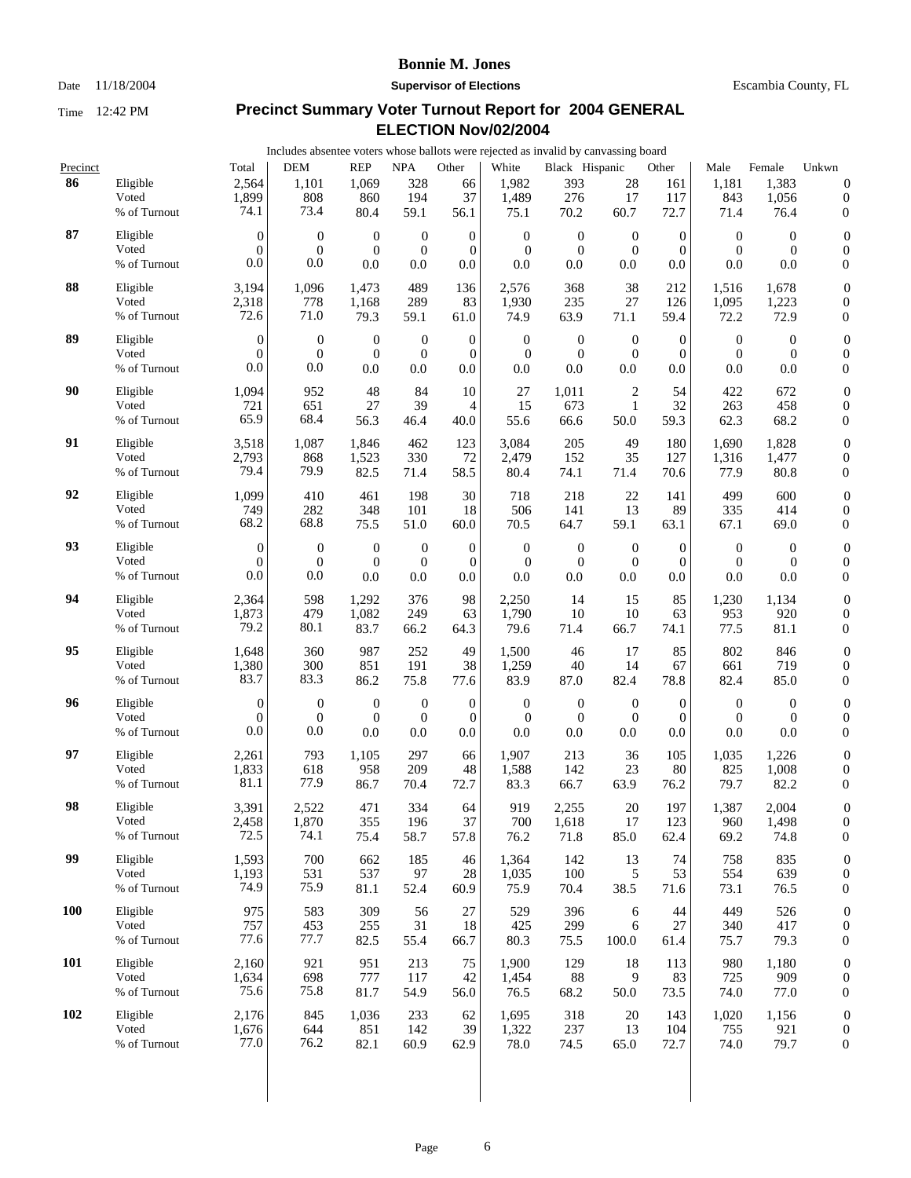Date 11/18/2004 **Supervisor of Elections** Escambia County, FL

|            |                   |                        | Includes absentee voters whose ballots were rejected as invalid by canvassing board |                  |                  |                  |                  |                  |                  |                  |                  |                |                                      |
|------------|-------------------|------------------------|-------------------------------------------------------------------------------------|------------------|------------------|------------------|------------------|------------------|------------------|------------------|------------------|----------------|--------------------------------------|
| Precinct   |                   | Total                  | <b>DEM</b>                                                                          | <b>REP</b>       | <b>NPA</b>       | Other            | White            | Black Hispanic   |                  | Other            | Male             | Female         | Unkwn                                |
| 86         | Eligible<br>Voted | 2,564<br>1,899<br>74.1 | 1,101<br>808<br>73.4                                                                | 1,069<br>860     | 328<br>194       | 66<br>37         | 1,982<br>1,489   | 393<br>276       | 28<br>17         | 161<br>117       | 1,181<br>843     | 1,383<br>1,056 | $\boldsymbol{0}$<br>$\boldsymbol{0}$ |
|            | % of Turnout      |                        |                                                                                     | 80.4             | 59.1             | 56.1             | 75.1             | 70.2             | 60.7             | 72.7             | 71.4             | 76.4           | $\boldsymbol{0}$                     |
| 87         | Eligible          | $\boldsymbol{0}$       | $\boldsymbol{0}$                                                                    | $\mathbf{0}$     | $\mathbf{0}$     | $\boldsymbol{0}$ | $\mathbf{0}$     | $\boldsymbol{0}$ | $\mathbf{0}$     | $\theta$         | $\theta$         | $\theta$       | $\boldsymbol{0}$                     |
|            | Voted             | $\theta$               | $\mathbf{0}$                                                                        | $\overline{0}$   | $\mathbf{0}$     | $\mathbf{0}$     | $\boldsymbol{0}$ | $\boldsymbol{0}$ | $\mathbf{0}$     | $\overline{0}$   | $\overline{0}$   | $\theta$       | $\boldsymbol{0}$                     |
|            | % of Turnout      | 0.0                    | 0.0                                                                                 | 0.0              | 0.0              | 0.0              | 0.0              | 0.0              | 0.0              | 0.0              | 0.0              | 0.0            | $\boldsymbol{0}$                     |
| 88         | Eligible          | 3,194                  | 1,096                                                                               | 1,473            | 489              | 136              | 2,576            | 368              | 38               | 212              | 1,516            | 1,678          | $\boldsymbol{0}$                     |
|            | Voted             | 2,318                  | 778                                                                                 | 1,168            | 289              | 83               | 1,930            | 235              | 27               | 126              | 1,095            | 1,223          | $\boldsymbol{0}$                     |
|            | % of Turnout      | 72.6                   | 71.0                                                                                | 79.3             | 59.1             | 61.0             | 74.9             | 63.9             | 71.1             | 59.4             | 72.2             | 72.9           | $\boldsymbol{0}$                     |
| 89         | Eligible          | $\boldsymbol{0}$       | $\boldsymbol{0}$                                                                    | $\mathbf{0}$     | $\boldsymbol{0}$ | $\mathbf 0$      | $\boldsymbol{0}$ | $\boldsymbol{0}$ | $\mathbf{0}$     | $\boldsymbol{0}$ | $\boldsymbol{0}$ | $\mathbf{0}$   | $\boldsymbol{0}$                     |
|            | Voted             | $\Omega$               | $\overline{0}$                                                                      | $\mathbf{0}$     | $\boldsymbol{0}$ | $\mathbf{0}$     | $\boldsymbol{0}$ | $\boldsymbol{0}$ | $\mathbf{0}$     | $\overline{0}$   | $\boldsymbol{0}$ | $\theta$       | $\boldsymbol{0}$                     |
|            | % of Turnout      | 0.0                    | $0.0\,$                                                                             | 0.0              | 0.0              | 0.0              | 0.0              | 0.0              | 0.0              | 0.0              | 0.0              | 0.0            | $\boldsymbol{0}$                     |
| 90         | Eligible          | 1,094                  | 952                                                                                 | 48               | 84               | 10               | 27               | 1,011            | 2                | 54               | 422              | 672            | $\boldsymbol{0}$                     |
|            | Voted             | 721                    | 651                                                                                 | 27               | 39               | $\overline{4}$   | 15               | 673              | $\mathbf{1}$     | 32               | 263              | 458            | $\boldsymbol{0}$                     |
|            | % of Turnout      | 65.9                   | 68.4                                                                                | 56.3             | 46.4             | 40.0             | 55.6             | 66.6             | 50.0             | 59.3             | 62.3             | 68.2           | $\boldsymbol{0}$                     |
| 91         | Eligible          | 3,518                  | 1,087                                                                               | 1,846            | 462              | 123              | 3,084            | 205              | 49               | 180              | 1,690            | 1,828          | $\boldsymbol{0}$                     |
|            | Voted             | 2,793                  | 868                                                                                 | 1,523            | 330              | 72               | 2,479            | 152              | 35               | 127              | 1,316            | 1,477          | $\boldsymbol{0}$                     |
|            | % of Turnout      | 79.4                   | 79.9                                                                                | 82.5             | 71.4             | 58.5             | 80.4             | 74.1             | 71.4             | 70.6             | 77.9             | 80.8           | $\boldsymbol{0}$                     |
| 92         | Eligible          | 1,099                  | 410                                                                                 | 461              | 198              | 30               | 718              | 218              | 22               | 141              | 499              | 600            | $\boldsymbol{0}$                     |
|            | Voted             | 749                    | 282                                                                                 | 348              | 101              | 18               | 506              | 141              | 13               | 89               | 335              | 414            | $\boldsymbol{0}$                     |
|            | % of Turnout      | 68.2                   | 68.8                                                                                | 75.5             | 51.0             | 60.0             | 70.5             | 64.7             | 59.1             | 63.1             | 67.1             | 69.0           | $\boldsymbol{0}$                     |
| 93         | Eligible          | $\overline{0}$         | $\mathbf{0}$                                                                        | $\mathbf{0}$     | $\mathbf{0}$     | $\mathbf 0$      | $\boldsymbol{0}$ | $\mathbf{0}$     | $\boldsymbol{0}$ | $\theta$         | $\theta$         | $\theta$       | $\boldsymbol{0}$                     |
|            | Voted             | $\overline{0}$         | $\boldsymbol{0}$                                                                    | $\boldsymbol{0}$ | $\mathbf{0}$     | $\mathbf{0}$     | $\boldsymbol{0}$ | $\boldsymbol{0}$ | $\mathbf{0}$     | $\overline{0}$   | $\theta$         | $\theta$       | $\boldsymbol{0}$                     |
|            | % of Turnout      | 0.0                    | 0.0                                                                                 | 0.0              | 0.0              | 0.0              | 0.0              | 0.0              | 0.0              | 0.0              | 0.0              | 0.0            | $\boldsymbol{0}$                     |
| 94         | Eligible          | 2,364                  | 598                                                                                 | 1,292            | 376              | 98               | 2,250            | 14               | 15               | 85               | 1,230            | 1,134          | $\boldsymbol{0}$                     |
|            | Voted             | 1,873                  | 479                                                                                 | 1,082            | 249              | 63               | 1,790            | 10               | 10               | 63               | 953              | 920            | $\boldsymbol{0}$                     |
|            | % of Turnout      | 79.2                   | 80.1                                                                                | 83.7             | 66.2             | 64.3             | 79.6             | 71.4             | 66.7             | 74.1             | 77.5             | 81.1           | $\boldsymbol{0}$                     |
| 95         | Eligible          | 1,648                  | 360                                                                                 | 987              | 252              | 49               | 1,500            | 46               | 17               | 85               | 802              | 846            | $\boldsymbol{0}$                     |
|            | Voted             | 1,380                  | 300                                                                                 | 851              | 191              | 38               | 1,259            | 40               | 14               | 67               | 661              | 719            | $\boldsymbol{0}$                     |
|            | % of Turnout      | 83.7                   | 83.3                                                                                | 86.2             | 75.8             | 77.6             | 83.9             | 87.0             | 82.4             | 78.8             | 82.4             | 85.0           | $\boldsymbol{0}$                     |
| 96         | Eligible          | $\boldsymbol{0}$       | $\mathbf{0}$                                                                        | $\mathbf{0}$     | $\boldsymbol{0}$ | $\boldsymbol{0}$ | $\mathbf{0}$     | $\boldsymbol{0}$ | $\mathbf{0}$     | $\theta$         | $\overline{0}$   | $\theta$       | $\boldsymbol{0}$                     |
|            | Voted             | $\mathbf{0}$           | $\boldsymbol{0}$                                                                    | $\theta$         | $\boldsymbol{0}$ | $\boldsymbol{0}$ | $\overline{0}$   | $\boldsymbol{0}$ | $\theta$         | $\theta$         | $\theta$         | $\theta$       | $\boldsymbol{0}$                     |
|            | % of Turnout      | 0.0                    | 0.0                                                                                 | 0.0              | 0.0              | 0.0              | 0.0              | 0.0              | 0.0              | $0.0\,$          | 0.0              | 0.0            | $\boldsymbol{0}$                     |
| 97         | Eligible          | 2,261                  | 793                                                                                 | 1,105            | 297              | 66               | 1,907            | 213              | 36               | 105              | 1,035            | 1,226          | $\boldsymbol{0}$                     |
|            | Voted             | 1,833                  | 618                                                                                 | 958              | 209              | 48               | 1,588            | 142              | 23               | 80               | 825              | 1,008          | $\boldsymbol{0}$                     |
|            | % of Turnout      | 81.1                   | 77.9                                                                                | 86.7             | 70.4             | 72.7             | 83.3             | 66.7             | 63.9             | 76.2             | 79.7             | 82.2           | $\boldsymbol{0}$                     |
| 98         | Eligible          | 3,391                  | 2,522                                                                               | 471              | 334              | 64               | 919              | 2,255            | 20               | 197              | 1,387            | 2,004          | $\overline{0}$                       |
|            | Voted             | 2,458                  | 1,870                                                                               | 355              | 196              | 37               | 700              | 1,618            | 17               | 123              | 960              | 1,498          | $\boldsymbol{0}$                     |
|            | % of Turnout      | 72.5                   | 74.1                                                                                | 75.4             | 58.7             | 57.8             | 76.2             | 71.8             | 85.0             | 62.4             | 69.2             | 74.8           | $\boldsymbol{0}$                     |
| 99         | Eligible          | 1,593                  | 700                                                                                 | 662              | 185              | 46               | 1,364            | 142              | 13               | 74               | 758              | 835            | $\boldsymbol{0}$                     |
|            | Voted             | 1,193                  | 531                                                                                 | 537              | 97               | 28               | 1,035            | 100              | 5                | 53               | 554              | 639            | $\boldsymbol{0}$                     |
|            | % of Turnout      | 74.9                   | 75.9                                                                                | 81.1             | 52.4             | 60.9             | 75.9             | 70.4             | 38.5             | 71.6             | 73.1             | 76.5           | $\mathbf{0}$                         |
| <b>100</b> | Eligible          | 975                    | 583                                                                                 | 309              | 56               | 27               | 529              | 396              | 6                | 44               | 449              | 526            | $\boldsymbol{0}$                     |
|            | Voted             | 757                    | 453                                                                                 | 255              | 31               | 18               | 425              | 299              | 6                | 27               | 340              | 417            | $\boldsymbol{0}$                     |
|            | % of Turnout      | 77.6                   | 77.7                                                                                | 82.5             | 55.4             | 66.7             | 80.3             | 75.5             | 100.0            | 61.4             | 75.7             | 79.3           | $\boldsymbol{0}$                     |
| 101        | Eligible          | 2,160                  | 921                                                                                 | 951              | 213              | 75               | 1,900            | 129              | 18               | 113              | 980              | 1,180          | $\boldsymbol{0}$                     |
|            | Voted             | 1,634                  | 698                                                                                 | 777              | 117              | 42               | 1,454            | 88               | 9                | 83               | 725              | 909            | $\boldsymbol{0}$                     |
|            | % of Turnout      | 75.6                   | 75.8                                                                                | 81.7             | 54.9             | 56.0             | 76.5             | 68.2             | 50.0             | 73.5             | 74.0             | 77.0           | $\mathbf{0}$                         |
| 102        | Eligible          | 2,176                  | 845                                                                                 | 1,036            | 233              | 62               | 1,695            | 318              | 20               | 143              | 1,020            | 1,156          | $\boldsymbol{0}$                     |
|            | Voted             | 1,676                  | 644                                                                                 | 851              | 142              | 39               | 1,322            | 237              | 13               | 104              | 755              | 921            | $\boldsymbol{0}$                     |
|            | % of Turnout      | 77.0                   | 76.2                                                                                | 82.1             | 60.9             | 62.9             | 78.0             | 74.5             | 65.0             | 72.7             | 74.0             | 79.7           | $\boldsymbol{0}$                     |
|            |                   |                        |                                                                                     |                  |                  |                  |                  |                  |                  |                  |                  |                |                                      |